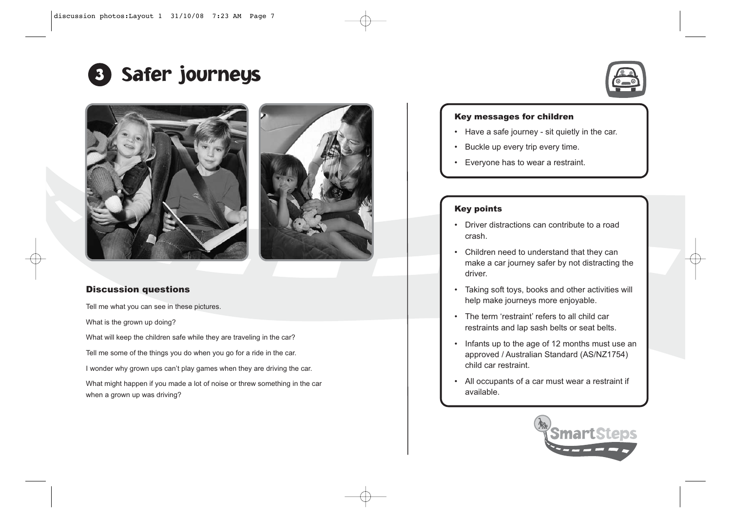







## Discussion questions

Tell me what you can see in these pictures.

What is the grown up doing?

What will keep the children safe while they are traveling in the car?

Tell me some of the things you do when you go for a ride in the car.

I wonder why grown ups can't play games when they are driving the car.

What might happen if you made a lot of noise or threw something in the car when a grown up was driving?

## Key messages for children

- Have a safe journey sit quietly in the car.
- •Buckle up every trip every time.
- Everyone has to wear a restraint.

## Key points

- Driver distractions can contribute to a road crash.
- Children need to understand that they can make a car journey safer by not distracting the driver.
- Taking soft toys, books and other activities will help make journeys more enjoyable.
- The term 'restraint' refers to all child car restraints and lap sash belts or seat belts.
- Infants up to the age of 12 months must use an approved / Australian Standard (AS/NZ1754) child car restraint.
- All occupants of a car must wear a restraint if available.